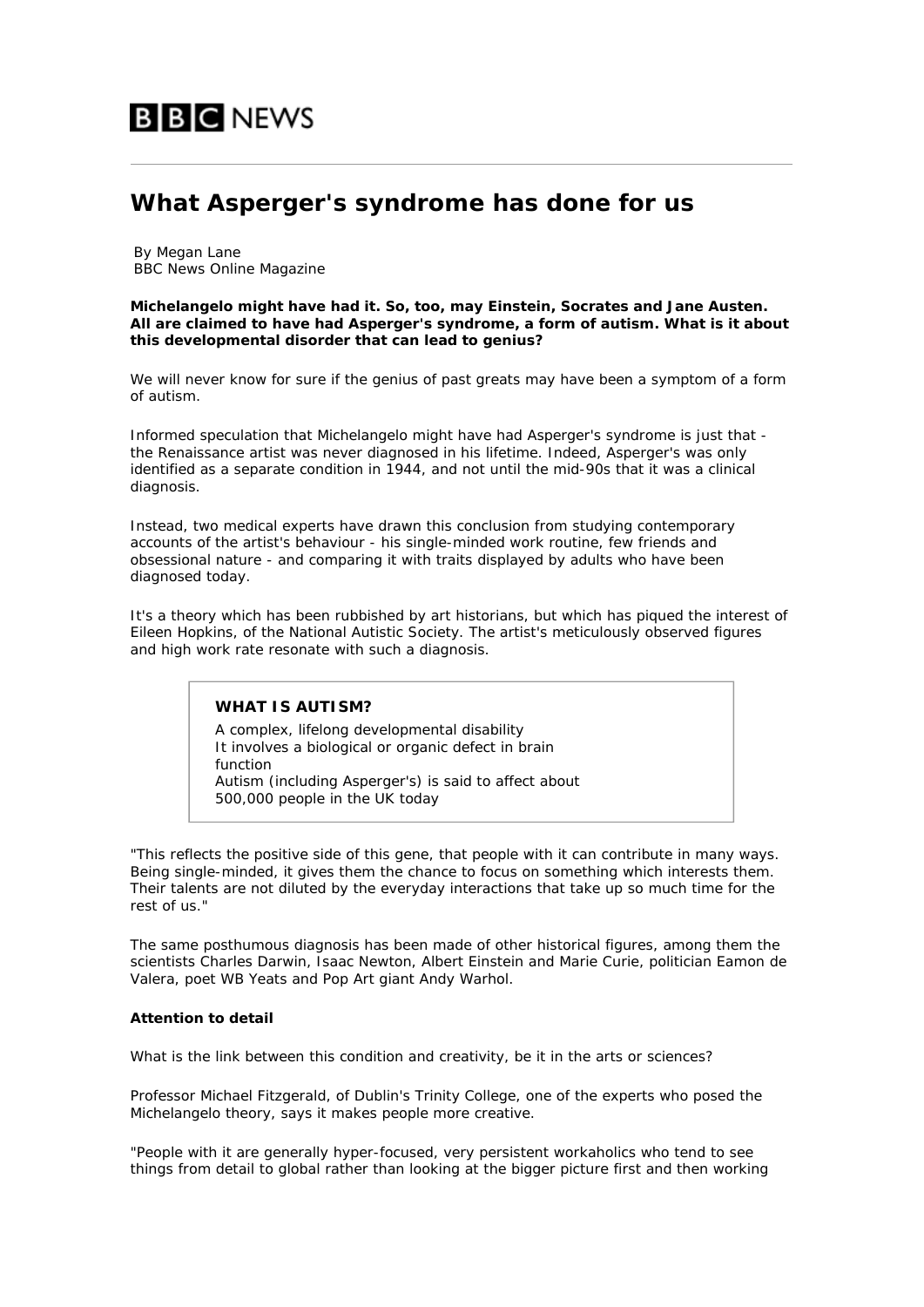# **B B C** NEWS

# **What Asperger's syndrome has done for us**

By Megan Lane BBC News Online Magazine

**Michelangelo might have had it. So, too, may Einstein, Socrates and Jane Austen. All are claimed to have had Asperger's syndrome, a form of autism. What is it about this developmental disorder that can lead to genius?** 

We will never know for sure if the genius of past greats may have been a symptom of a form of autism.

Informed speculation that Michelangelo might have had Asperger's syndrome is just that the Renaissance artist was never diagnosed in his lifetime. Indeed, Asperger's was only identified as a separate condition in 1944, and not until the mid-90s that it was a clinical diagnosis.

Instead, two medical experts have drawn this conclusion from studying contemporary accounts of the artist's behaviour - his single-minded work routine, few friends and obsessional nature - and comparing it with traits displayed by adults who have been diagnosed today.

It's a theory which has been rubbished by art historians, but which has piqued the interest of Eileen Hopkins, of the National Autistic Society. The artist's meticulously observed figures and high work rate resonate with such a diagnosis.

## **WHAT IS AUTISM?**

A complex, lifelong developmental disability It involves a biological or organic defect in brain function Autism (including Asperger's) is said to affect about 500,000 people in the UK today

"This reflects the positive side of this gene, that people with it can contribute in many ways. Being single-minded, it gives them the chance to focus on something which interests them. Their talents are not diluted by the everyday interactions that take up so much time for the rest of us."

The same posthumous diagnosis has been made of other historical figures, among them the scientists Charles Darwin, Isaac Newton, Albert Einstein and Marie Curie, politician Eamon de Valera, poet WB Yeats and Pop Art giant Andy Warhol.

### **Attention to detail**

What is the link between this condition and creativity, be it in the arts or sciences?

Professor Michael Fitzgerald, of Dublin's Trinity College, one of the experts who posed the Michelangelo theory, says it makes people more creative.

"People with it are generally hyper-focused, very persistent workaholics who tend to see things from detail to global rather than looking at the bigger picture first and then working